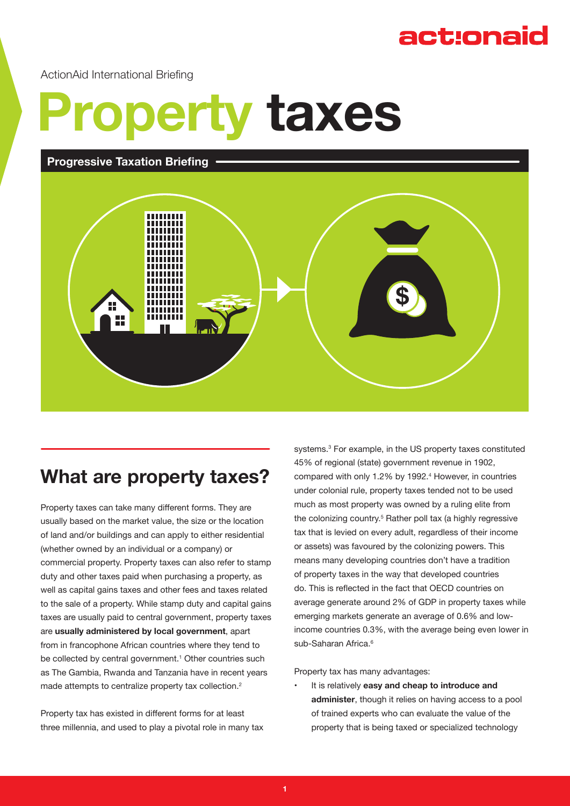## act:onaid

ActionAid International Briefing

# **Property taxes**

 **Progressive Taxation Briefing**



### **What are property taxes?**

Property taxes can take many different forms. They are usually based on the market value, the size or the location of land and/or buildings and can apply to either residential (whether owned by an individual or a company) or commercial property. Property taxes can also refer to stamp duty and other taxes paid when purchasing a property, as well as capital gains taxes and other fees and taxes related to the sale of a property. While stamp duty and capital gains taxes are usually paid to central government, property taxes are **usually administered by local government**, apart from in francophone African countries where they tend to be collected by central government.<sup>1</sup> Other countries such as The Gambia, Rwanda and Tanzania have in recent years made attempts to centralize property tax collection.<sup>2</sup>

Property tax has existed in different forms for at least three millennia, and used to play a pivotal role in many tax

systems.<sup>3</sup> For example, in the US property taxes constituted 45% of regional (state) government revenue in 1902, compared with only 1.2% by 1992.<sup>4</sup> However, in countries under colonial rule, property taxes tended not to be used much as most property was owned by a ruling elite from the colonizing country.<sup>5</sup> Rather poll tax (a highly regressive tax that is levied on every adult, regardless of their income or assets) was favoured by the colonizing powers. This means many developing countries don't have a tradition of property taxes in the way that developed countries do. This is reflected in the fact that OECD countries on average generate around 2% of GDP in property taxes while emerging markets generate an average of 0.6% and lowincome countries 0.3%, with the average being even lower in sub-Saharan Africa.<sup>6</sup>

Property tax has many advantages:

• It is relatively **easy and cheap to introduce and administer**, though it relies on having access to a pool of trained experts who can evaluate the value of the property that is being taxed or specialized technology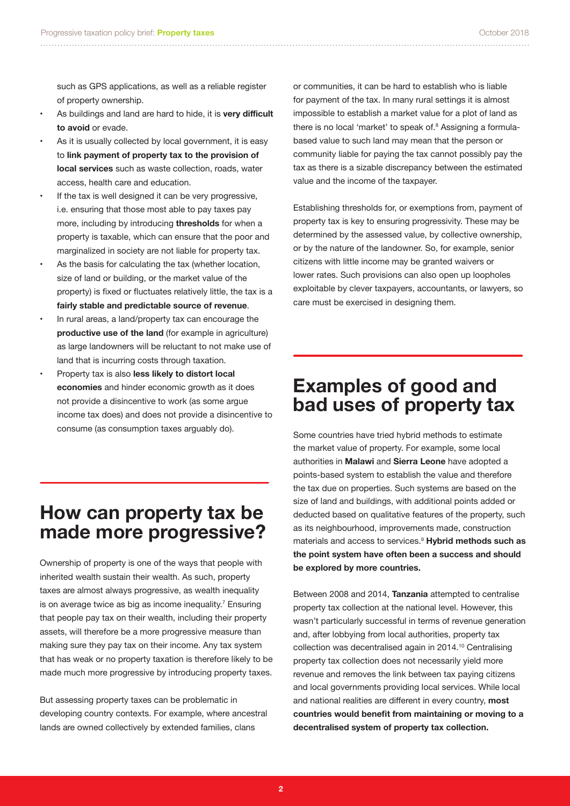such as GPS applications, as well as a reliable register of property ownership.

- As buildings and land are hard to hide, it is **very difficult to avoid** or evade.
- As it is usually collected by local government, it is easy to **link payment of property tax to the provision of local services** such as waste collection, roads, water access, health care and education.
- If the tax is well designed it can be very progressive. i.e. ensuring that those most able to pay taxes pay more, including by introducing **thresholds** for when a property is taxable, which can ensure that the poor and marginalized in society are not liable for property tax.
- As the basis for calculating the tax (whether location, size of land or building, or the market value of the property) is fixed or fluctuates relatively little, the tax is a **fairly stable and predictable source of revenue**.
- In rural areas, a land/property tax can encourage the **productive use of the land** (for example in agriculture) as large landowners will be reluctant to not make use of land that is incurring costs through taxation.
- Property tax is also **less likely to distort local economies** and hinder economic growth as it does not provide a disincentive to work (as some argue income tax does) and does not provide a disincentive to consume (as consumption taxes arguably do).

#### **How can property tax be made more progressive?**

Ownership of property is one of the ways that people with inherited wealth sustain their wealth. As such, property taxes are almost always progressive, as wealth inequality is on average twice as big as income inequality.<sup>7</sup> Ensuring that people pay tax on their wealth, including their property assets, will therefore be a more progressive measure than making sure they pay tax on their income. Any tax system that has weak or no property taxation is therefore likely to be made much more progressive by introducing property taxes.

But assessing property taxes can be problematic in developing country contexts. For example, where ancestral lands are owned collectively by extended families, clans

or communities, it can be hard to establish who is liable for payment of the tax. In many rural settings it is almost impossible to establish a market value for a plot of land as there is no local 'market' to speak of.<sup>8</sup> Assigning a formulabased value to such land may mean that the person or community liable for paying the tax cannot possibly pay the tax as there is a sizable discrepancy between the estimated value and the income of the taxpayer.

Establishing thresholds for, or exemptions from, payment of property tax is key to ensuring progressivity. These may be determined by the assessed value, by collective ownership, or by the nature of the landowner. So, for example, senior citizens with little income may be granted waivers or lower rates. Such provisions can also open up loopholes exploitable by clever taxpayers, accountants, or lawyers, so care must be exercised in designing them.

#### **Examples of good and bad uses of property tax**

Some countries have tried hybrid methods to estimate the market value of property. For example, some local authorities in **Malawi** and **Sierra Leone** have adopted a points-based system to establish the value and therefore the tax due on properties. Such systems are based on the size of land and buildings, with additional points added or deducted based on qualitative features of the property, such as its neighbourhood, improvements made, construction materials and access to services.9 **Hybrid methods such as the point system have often been a success and should be explored by more countries.**

Between 2008 and 2014, **Tanzania** attempted to centralise property tax collection at the national level. However, this wasn't particularly successful in terms of revenue generation and, after lobbying from local authorities, property tax collection was decentralised again in 2014.10 Centralising property tax collection does not necessarily yield more revenue and removes the link between tax paying citizens and local governments providing local services. While local and national realities are different in every country, **most countries would benefit from maintaining or moving to a decentralised system of property tax collection.**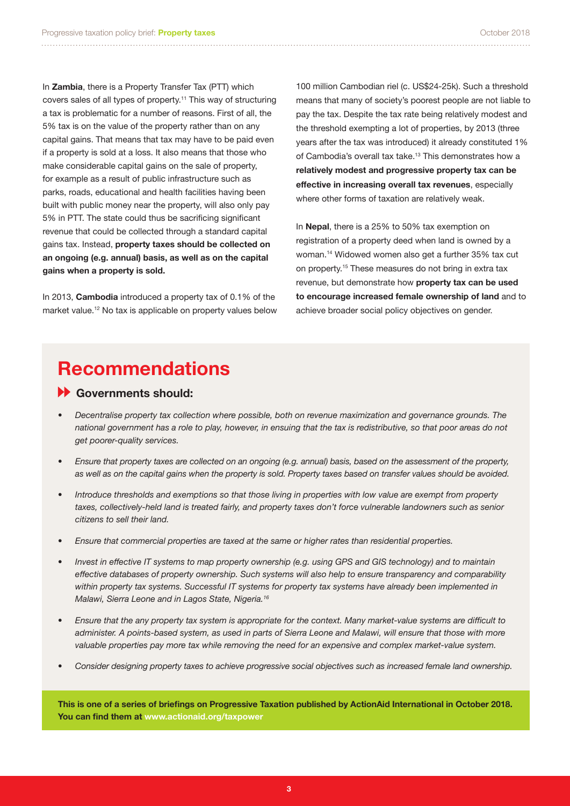In **Zambia**, there is a Property Transfer Tax (PTT) which covers sales of all types of property.<sup>11</sup> This way of structuring a tax is problematic for a number of reasons. First of all, the 5% tax is on the value of the property rather than on any capital gains. That means that tax may have to be paid even if a property is sold at a loss. It also means that those who make considerable capital gains on the sale of property, for example as a result of public infrastructure such as parks, roads, educational and health facilities having been built with public money near the property, will also only pay 5% in PTT. The state could thus be sacrificing significant revenue that could be collected through a standard capital gains tax. Instead, **property taxes should be collected on an ongoing (e.g. annual) basis, as well as on the capital gains when a property is sold.**

In 2013, **Cambodia** introduced a property tax of 0.1% of the market value.<sup>12</sup> No tax is applicable on property values below 100 million Cambodian riel (c. US\$24-25k). Such a threshold means that many of society's poorest people are not liable to pay the tax. Despite the tax rate being relatively modest and the threshold exempting a lot of properties, by 2013 (three years after the tax was introduced) it already constituted 1% of Cambodia's overall tax take.<sup>13</sup> This demonstrates how a **relatively modest and progressive property tax can be effective in increasing overall tax revenues**, especially where other forms of taxation are relatively weak.

In **Nepal**, there is a 25% to 50% tax exemption on registration of a property deed when land is owned by a woman.<sup>14</sup> Widowed women also get a further 35% tax cut on property.<sup>15</sup> These measures do not bring in extra tax revenue, but demonstrate how **property tax can be used to encourage increased female ownership of land** and to achieve broader social policy objectives on gender.

## **Recommendations**

#### **Governments should:**

- *• Decentralise property tax collection where possible, both on revenue maximization and governance grounds. The national government has a role to play, however, in ensuing that the tax is redistributive, so that poor areas do not get poorer-quality services.*
- *• Ensure that property taxes are collected on an ongoing (e.g. annual) basis, based on the assessment of the property, as well as on the capital gains when the property is sold. Property taxes based on transfer values should be avoided.*
- *• Introduce thresholds and exemptions so that those living in properties with low value are exempt from property*  taxes, collectively-held land is treated fairly, and property taxes don't force vulnerable landowners such as senior *citizens to sell their land.*
- *• Ensure that commercial properties are taxed at the same or higher rates than residential properties.*
- *• Invest in effective IT systems to map property ownership (e.g. using GPS and GIS technology) and to maintain effective databases of property ownership. Such systems will also help to ensure transparency and comparability within property tax systems. Successful IT systems for property tax systems have already been implemented in Malawi, Sierra Leone and in Lagos State, Nigeria.16*
- *• Ensure that the any property tax system is appropriate for the context. Many market-value systems are difficult to administer. A points-based system, as used in parts of Sierra Leone and Malawi, will ensure that those with more valuable properties pay more tax while removing the need for an expensive and complex market-value system.*
- *• Consider designing property taxes to achieve progressive social objectives such as increased female land ownership.*

**This is one of a series of briefings on Progressive Taxation published by ActionAid International in October 2018. You can find them at www.actionaid.org/taxpower**